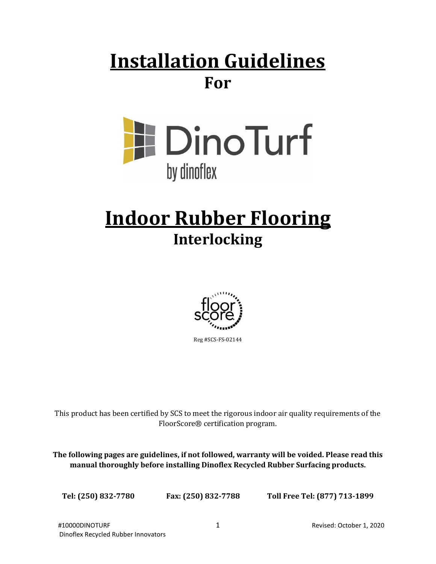## **Installation Guidelines For**



# **Indoor Rubber Flooring Interlocking**



This product has been certified by SCS to meet the rigorous indoor air quality requirements of the FloorScore® certification program.

**The following pages are guidelines, if not followed, warranty will be voided. Please read this manual thoroughly before installing Dinoflex Recycled Rubber Surfacing products.**

**Tel: (250) 832-7780 Fax: (250) 832-7788 Toll Free Tel: (877) 713-1899**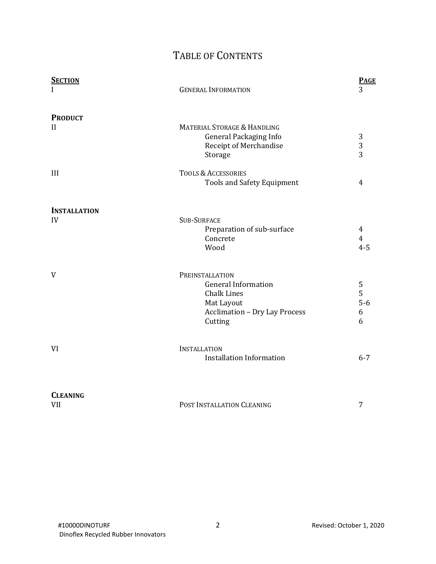### TABLE OF CONTENTS

| <b>SECTION</b>                | <b>GENERAL INFORMATION</b>                                                                                                           | <b>PAGE</b><br>3               |
|-------------------------------|--------------------------------------------------------------------------------------------------------------------------------------|--------------------------------|
| <b>PRODUCT</b><br>II          | MATERIAL STORAGE & HANDLING<br><b>General Packaging Info</b><br>Receipt of Merchandise<br>Storage                                    | 3<br>3<br>3                    |
| III                           | <b>TOOLS &amp; ACCESSORIES</b><br><b>Tools and Safety Equipment</b>                                                                  | 4                              |
| <b>INSTALLATION</b><br>IV     | <b>SUB-SURFACE</b><br>Preparation of sub-surface<br>Concrete<br>Wood                                                                 | 4<br>$\overline{4}$<br>$4 - 5$ |
| V                             | PREINSTALLATION<br><b>General Information</b><br><b>Chalk Lines</b><br>Mat Layout<br><b>Acclimation - Dry Lay Process</b><br>Cutting | 5<br>5<br>$5-6$<br>6<br>6      |
| <b>VI</b>                     | <b>INSTALLATION</b><br><b>Installation Information</b>                                                                               | $6 - 7$                        |
| <b>CLEANING</b><br><b>VII</b> | POST INSTALLATION CLEANING                                                                                                           | 7                              |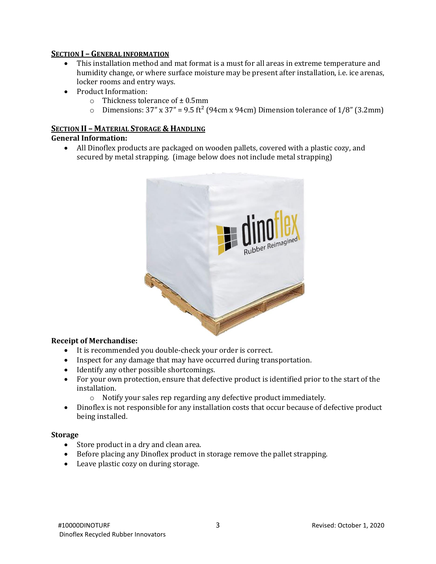#### **SECTION I – GENERAL INFORMATION**

- This installation method and mat format is a must for all areas in extreme temperature and humidity change, or where surface moisture may be present after installation, i.e. ice arenas, locker rooms and entry ways.
- Product Information:
	- $\circ$  Thickness tolerance of  $\pm$  0.5mm
	- o Dimensions:  $37''$  x  $37''$  = 9.5 ft<sup>2</sup> (94cm x 94cm) Dimension tolerance of  $1/8''$  (3.2mm)

### **SECTION II – MATERIAL STORAGE & HANDLING**

#### **General Information:**

• All Dinoflex products are packaged on wooden pallets, covered with a plastic cozy, and secured by metal strapping. (image below does not include metal strapping)



#### **Receipt of Merchandise:**

- It is recommended you double-check your order is correct.
- Inspect for any damage that may have occurred during transportation.
- Identify any other possible shortcomings.
- For your own protection, ensure that defective product is identified prior to the start of the installation.
	- o Notify your sales rep regarding any defective product immediately.
- Dinoflex is not responsible for any installation costs that occur because of defective product being installed.

#### **Storage**

- Store product in a dry and clean area.
- Before placing any Dinoflex product in storage remove the pallet strapping.
- Leave plastic cozy on during storage.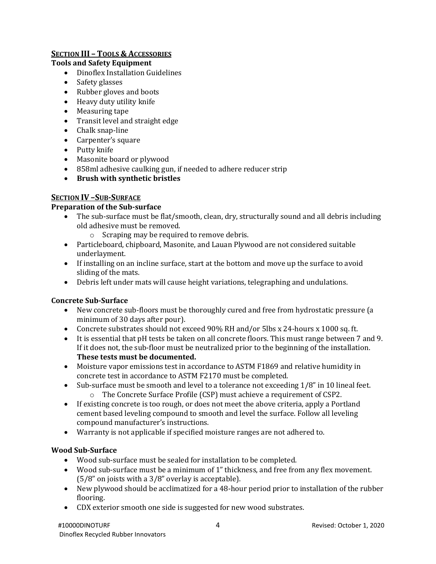#### **SECTION III – TOOLS & ACCESSORIES**

#### **Tools and Safety Equipment**

- Dinoflex Installation Guidelines
- Safety glasses
- Rubber gloves and boots
- Heavy duty utility knife
- Measuring tape
- Transit level and straight edge
- Chalk snap-line
- Carpenter's square
- Putty knife
- Masonite board or plywood
- 858ml adhesive caulking gun, if needed to adhere reducer strip
- **Brush with synthetic bristles**

#### **SECTION IV –SUB-SURFACE**

#### **Preparation of the Sub-surface**

- The sub-surface must be flat/smooth, clean, dry, structurally sound and all debris including old adhesive must be removed.
	- o Scraping may be required to remove debris.
- Particleboard, chipboard, Masonite, and Lauan Plywood are not considered suitable underlayment.
- If installing on an incline surface, start at the bottom and move up the surface to avoid sliding of the mats.
- Debris left under mats will cause height variations, telegraphing and undulations.

#### **Concrete Sub-Surface**

- New concrete sub-floors must be thoroughly cured and free from hydrostatic pressure (a minimum of 30 days after pour).
- Concrete substrates should not exceed 90% RH and/or 5lbs x 24-hours x 1000 sq. ft.
- It is essential that pH tests be taken on all concrete floors. This must range between 7 and 9. If it does not, the sub-floor must be neutralized prior to the beginning of the installation. **These tests must be documented.**
- Moisture vapor emissions test in accordance to ASTM F1869 and relative humidity in concrete test in accordance to ASTM F2170 must be completed.
- Sub-surface must be smooth and level to a tolerance not exceeding 1/8" in 10 lineal feet.
	- o The Concrete Surface Profile (CSP) must achieve a requirement of CSP2.
- If existing concrete is too rough, or does not meet the above criteria, apply a Portland cement based leveling compound to smooth and level the surface. Follow all leveling compound manufacturer's instructions.
- Warranty is not applicable if specified moisture ranges are not adhered to.

#### **Wood Sub-Surface**

- Wood sub-surface must be sealed for installation to be completed.
- Wood sub-surface must be a minimum of 1" thickness, and free from any flex movement. (5/8" on joists with a 3/8" overlay is acceptable).
- New plywood should be acclimatized for a 48-hour period prior to installation of the rubber flooring.
- CDX exterior smooth one side is suggested for new wood substrates.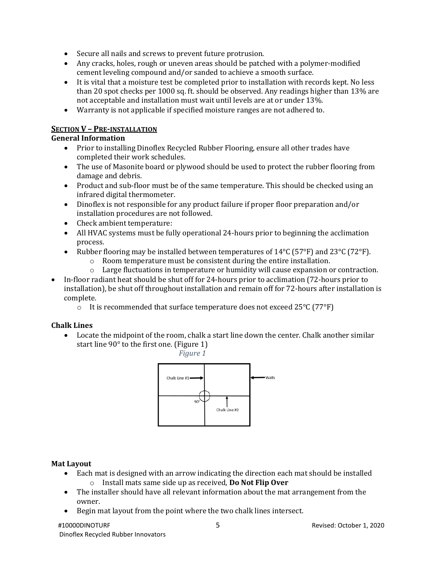- Secure all nails and screws to prevent future protrusion.
- Any cracks, holes, rough or uneven areas should be patched with a polymer-modified cement leveling compound and/or sanded to achieve a smooth surface.
- It is vital that a moisture test be completed prior to installation with records kept. No less than 20 spot checks per 1000 sq. ft. should be observed. Any readings higher than 13% are not acceptable and installation must wait until levels are at or under 13%.
- Warranty is not applicable if specified moisture ranges are not adhered to.

#### **SECTION V – PRE-INSTALLATION**

#### **General Information**

- Prior to installing Dinoflex Recycled Rubber Flooring, ensure all other trades have completed their work schedules.
- The use of Masonite board or plywood should be used to protect the rubber flooring from damage and debris.
- Product and sub-floor must be of the same temperature. This should be checked using an infrared digital thermometer.
- Dinoflex is not responsible for any product failure if proper floor preparation and/or installation procedures are not followed.
- Check ambient temperature:
- All HVAC systems must be fully operational 24-hours prior to beginning the acclimation process.
- Rubber flooring may be installed between temperatures of  $14^{\circ}C$  (57°F) and 23°C (72°F).
	- o Room temperature must be consistent during the entire installation.
	- o Large fluctuations in temperature or humidity will cause expansion or contraction.
- In-floor radiant heat should be shut off for 24-hours prior to acclimation (72-hours prior to installation), be shut off throughout installation and remain off for 72-hours after installation is complete.
	- $\circ$  It is recommended that surface temperature does not exceed 25 $\degree$ C (77 $\degree$ F)

#### **Chalk Lines**

• Locate the midpoint of the room, chalk a start line down the center. Chalk another similar start line 90° to the first one. (Figure 1)



#### **Mat Layout**

- Each mat is designed with an arrow indicating the direction each mat should be installed o Install mats same side up as received, **Do Not Flip Over**
- The installer should have all relevant information about the mat arrangement from the owner.
- Begin mat layout from the point where the two chalk lines intersect.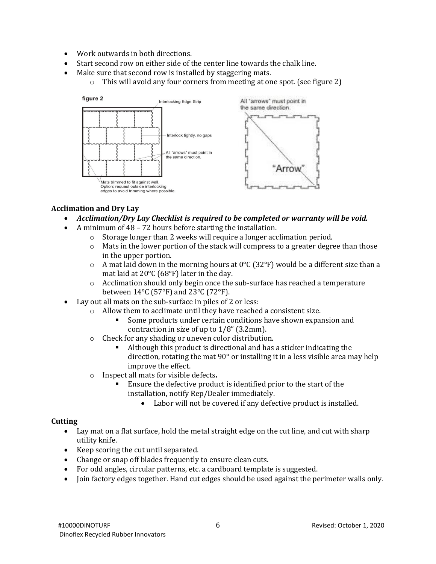- Work outwards in both directions.
- Start second row on either side of the center line towards the chalk line.
- Make sure that second row is installed by staggering mats.
	- o This will avoid any four corners from meeting at one spot. (see figure 2)



#### **Acclimation and Dry Lay**

- *Acclimation/Dry Lay Checklist is required to be completed or warranty will be void.*
- A minimum of 48 72 hours before starting the installation.
	- o Storage longer than 2 weeks will require a longer acclimation period.
	- o Mats in the lower portion of the stack will compress to a greater degree than those in the upper portion.
	- $\circ$  A mat laid down in the morning hours at 0°C (32°F) would be a different size than a mat laid at 20°C (68°F) later in the day.
	- $\circ$  Acclimation should only begin once the sub-surface has reached a temperature between 14°C (57°F) and 23°C (72°F).
- Lay out all mats on the sub-surface in piles of 2 or less:
	- o Allow them to acclimate until they have reached a consistent size.
		- Some products under certain conditions have shown expansion and contraction in size of up to 1/8" (3.2mm).
	- o Check for any shading or uneven color distribution.
		- Although this product is directional and has a sticker indicating the direction, rotating the mat 90° or installing it in a less visible area may help improve the effect.
	- o Inspect all mats for visible defects**.**
		- Ensure the defective product is identified prior to the start of the installation, notify Rep/Dealer immediately.
			- Labor will not be covered if any defective product is installed.

#### **Cutting**

- Lay mat on a flat surface, hold the metal straight edge on the cut line, and cut with sharp utility knife.
- Keep scoring the cut until separated.
- Change or snap off blades frequently to ensure clean cuts.
- For odd angles, circular patterns, etc. a cardboard template is suggested.
- Join factory edges together. Hand cut edges should be used against the perimeter walls only.